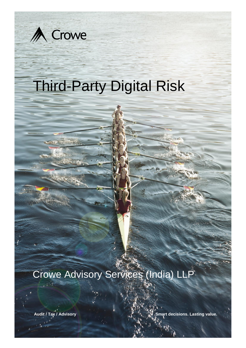

# Crowe Advisory Services (India) LLP

**Audit / Tax / Advisory Smart decisions. Lasting value.**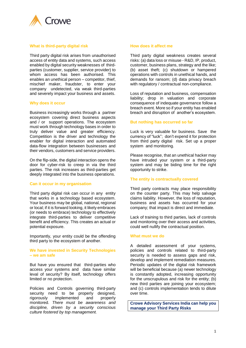

### **What is third-party digital risk**

Third party digital risk arises from unauthorised access of entity data and systems, such access enabled by digital security weaknesses of thirdparties (customer, supplier, service provider) to whom access has been authorised. This enables an unethical person – competitor, thief, mischief maker, fraudster, to enter your company undetected, via weak third-parties and severely impact your business and assets.

## **Why does it occur**

Business increasingly works through a partner ecosystem covering direct business aspects and / or support operations. The ecosystem must work through technology bases in order to truly deliver value and greater efficiency. Competition is the driver and technology the enabler for digital interaction and automated data-flow integration between businesses and their vendors, customers and service providers.

On the flip-side, the digital interaction opens the door for cyber-risk to creep in via the third parties. The risk increases as third-parties get deeply integrated into the business operations.

#### **Can it occur in my organisation**

Third party digital risk can occur in any entity that works in a technology based ecosystem. Your business may be global, national, regional or local; if it is forward looking, it likely embraces (or needs to embrace) technology to effectively integrate third-parties to deliver competitive benefit and efficiency. This creates an actual or potential exposure.

Importantly, your entity could be the offending third party to the ecosystem of another.

#### **We have invested in Security Technologies – we am safe**

But have you ensured that third-parties who access your systems and data have similar leval of security? By itself, technology offers limited or no protection.

Policies and Controls governing third-party security need to be properly designed, rigorously implemented and properly monitored. *There must be awareness and discipline, driven by a security conscious culture fostered by top management.*

#### **How does it affect me**

Third party digital weakness creates several risks: (a) data loss or misuse - R&D, IP, product, customer, business plans, strategy and the like; (b) asset theft; (c) shutdown or hampered operations with controls in unethical hands, and demands for ransom; (d) data privacy breach with regulatory / contractual non-compliance.

Loss of reputation and business, compensation liability; drop in valuation and corporate consequence of indequate governance follow a breach event. More so if your entity has enabled breach and disruption of another's ecosystem.

#### **But nothing has occurred so far**

Luck is very valuable for business. Save the currency of "luck"; don't expend it for protection from third party digital risk. Set up a proper system and monitoring.

Please recognise, that an unethical hacker may have intruded your system or a third-party system and may be biding time for the right opportunity to strike.

#### **The entity is contractually covered**

Third party contracts may place responsibility on the counter party. This may help salvage claims liability. However, the loss of reputation, business and assets has occurred for your company; that impact is direct and immediate.

Lack of training to third parties, lack of controls and monitoring over their access and activities, could well nullify the contractual position.

#### **What must we do**

A detailed assessment of your systems, policies and controls related to third-party security is needed to assess gaps and risk, develop and implement remediation measures. Periodic updates of the digital risk framework will be beneficial because (a) newer technology is constantly adopted, increasing opportunity for the unscrupulous and risk for the entity; (b) new third parties are joining your ecosystem; and (c) controls implementation tends to dilute over time.

**Crowe Advisory Services India can help you manage your Third Party Risks**